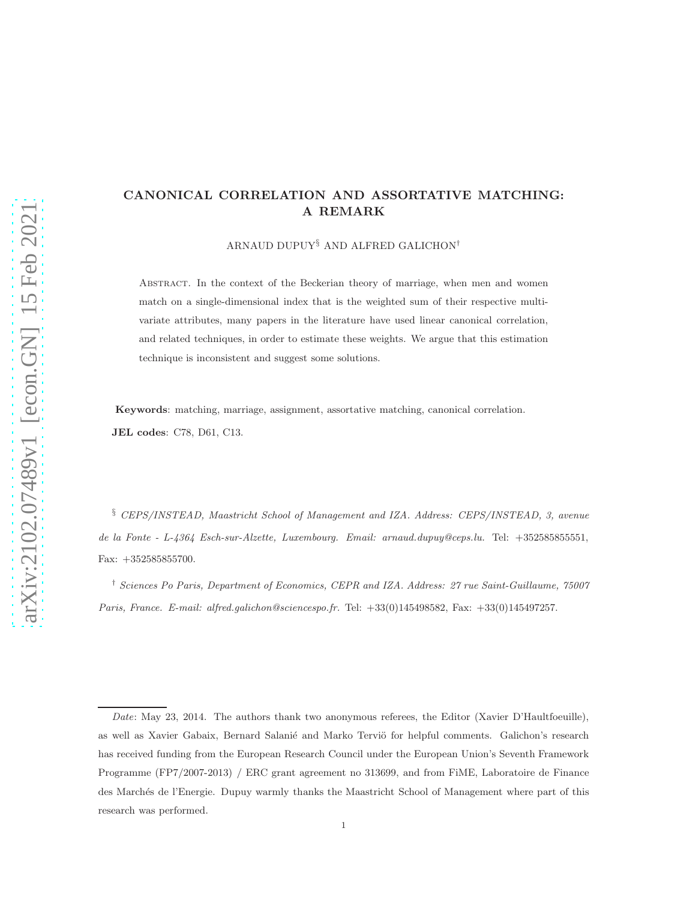## CANONICAL CORRELATION AND ASSORTATIVE MATCHING: A REMARK

ARNAUD DUPUY§ AND ALFRED GALICHON†

Abstract. In the context of the Beckerian theory of marriage, when men and women match on a single-dimensional index that is the weighted sum of their respective multivariate attributes, many papers in the literature have used linear canonical correlation, and related techniques, in order to estimate these weights. We argue that this estimation technique is inconsistent and suggest some solutions.

Keywords: matching, marriage, assignment, assortative matching, canonical correlation. JEL codes: C78, D61, C13.

§ *CEPS/INSTEAD, Maastricht School of Management and IZA. Address: CEPS/INSTEAD, 3, avenue de la Fonte - L-4364 Esch-sur-Alzette, Luxembourg. Email: arnaud.dupuy@ceps.lu.* Tel: +352585855551, Fax: +352585855700.

† *Sciences Po Paris, Department of Economics, CEPR and IZA. Address: 27 rue Saint-Guillaume, 75007 Paris, France. E-mail: alfred.galichon@sciencespo.fr.* Tel: +33(0)145498582, Fax: +33(0)145497257.

*Date*: May 23, 2014. The authors thank two anonymous referees, the Editor (Xavier D'Haultfoeuille), as well as Xavier Gabaix, Bernard Salanié and Marko Terviö for helpful comments. Galichon's research has received funding from the European Research Council under the European Union's Seventh Framework Programme (FP7/2007-2013) / ERC grant agreement no 313699, and from FiME, Laboratoire de Finance des Marchés de l'Energie. Dupuy warmly thanks the Maastricht School of Management where part of this research was performed.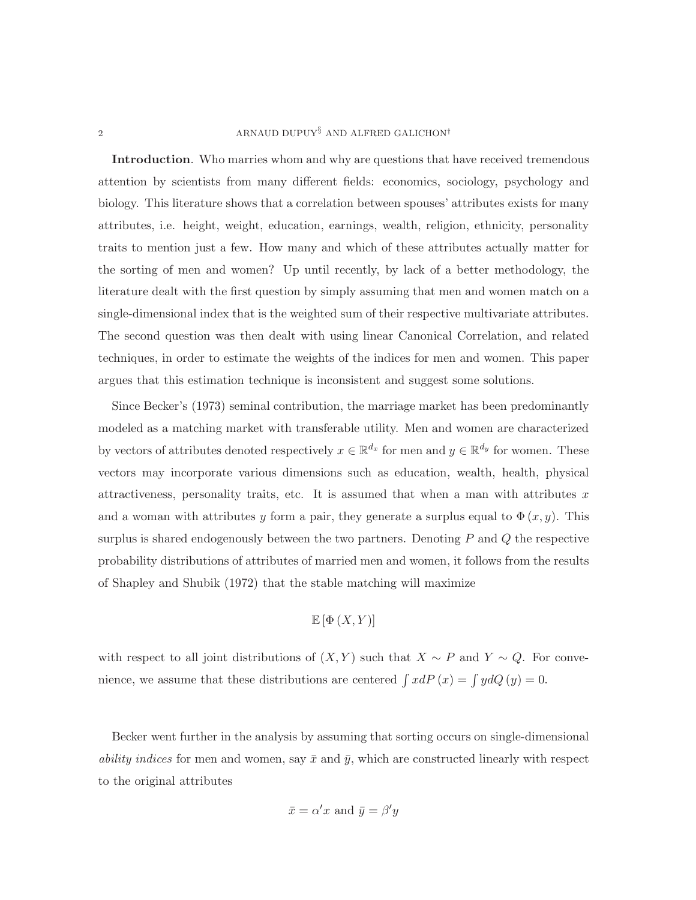## 2 ARNAUD DUPUY ${}^{\S}$  AND ALFRED GALICHON<sup>†</sup>

Introduction. Who marries whom and why are questions that have received tremendous attention by scientists from many different fields: economics, sociology, psychology and biology. This literature shows that a correlation between spouses' attributes exists for many attributes, i.e. height, weight, education, earnings, wealth, religion, ethnicity, personality traits to mention just a few. How many and which of these attributes actually matter for the sorting of men and women? Up until recently, by lack of a better methodology, the literature dealt with the first question by simply assuming that men and women match on a single-dimensional index that is the weighted sum of their respective multivariate attributes. The second question was then dealt with using linear Canonical Correlation, and related techniques, in order to estimate the weights of the indices for men and women. This paper argues that this estimation technique is inconsistent and suggest some solutions.

Since Becker's (1973) seminal contribution, the marriage market has been predominantly modeled as a matching market with transferable utility. Men and women are characterized by vectors of attributes denoted respectively  $x \in \mathbb{R}^{d_x}$  for men and  $y \in \mathbb{R}^{d_y}$  for women. These vectors may incorporate various dimensions such as education, wealth, health, physical attractiveness, personality traits, etc. It is assumed that when a man with attributes  $x$ and a woman with attributes y form a pair, they generate a surplus equal to  $\Phi(x, y)$ . This surplus is shared endogenously between the two partners. Denoting  $P$  and  $Q$  the respective probability distributions of attributes of married men and women, it follows from the results of Shapley and Shubik (1972) that the stable matching will maximize

$$
\mathbb{E}\left[\Phi\left(X,Y\right)\right]
$$

with respect to all joint distributions of  $(X, Y)$  such that  $X \sim P$  and  $Y \sim Q$ . For convenience, we assume that these distributions are centered  $\int x dP(x) = \int y dQ(y) = 0$ .

Becker went further in the analysis by assuming that sorting occurs on single-dimensional *ability indices* for men and women, say  $\bar{x}$  and  $\bar{y}$ , which are constructed linearly with respect to the original attributes

$$
\bar{x} = \alpha' x
$$
 and  $\bar{y} = \beta' y$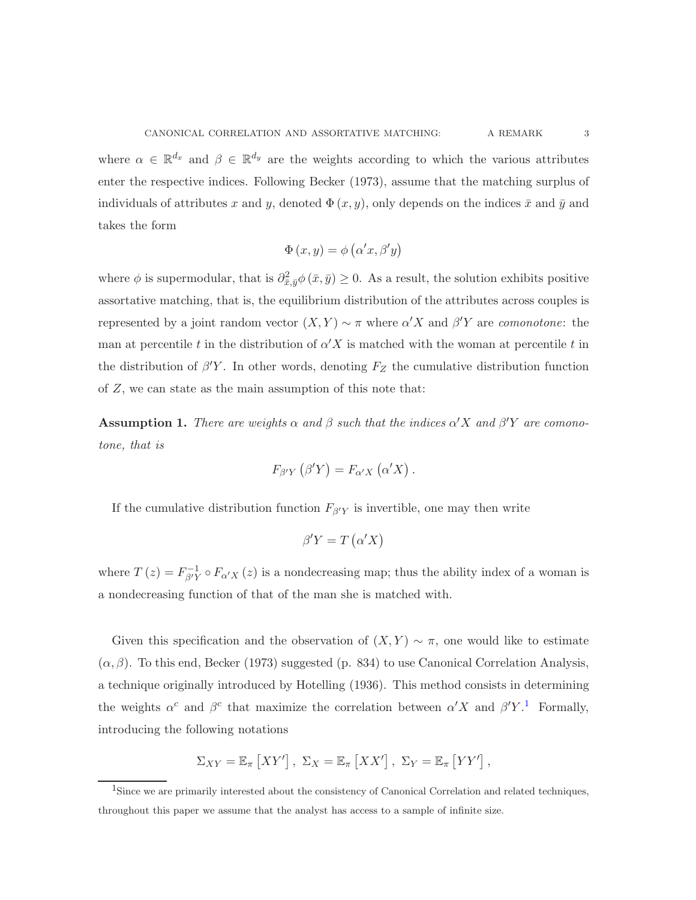where  $\alpha \in \mathbb{R}^{d_x}$  and  $\beta \in \mathbb{R}^{d_y}$  are the weights according to which the various attributes enter the respective indices. Following Becker (1973), assume that the matching surplus of individuals of attributes x and y, denoted  $\Phi(x, y)$ , only depends on the indices  $\bar{x}$  and  $\bar{y}$  and takes the form

$$
\Phi(x, y) = \phi(\alpha'x, \beta'y)
$$

where  $\phi$  is supermodular, that is  $\partial_{\bar{x},\bar{y}}^2 \phi(\bar{x},\bar{y}) \geq 0$ . As a result, the solution exhibits positive assortative matching, that is, the equilibrium distribution of the attributes across couples is represented by a joint random vector  $(X, Y) \sim \pi$  where  $\alpha' X$  and  $\beta' Y$  are *comonotone*: the man at percentile t in the distribution of  $\alpha' X$  is matched with the woman at percentile t in the distribution of  $\beta'Y$ . In other words, denoting  $F_Z$  the cumulative distribution function of Z, we can state as the main assumption of this note that:

**Assumption 1.** There are weights  $\alpha$  and  $\beta$  such that the indices  $\alpha'X$  and  $\beta'Y$  are comono*tone, that is*

$$
F_{\beta'Y}(\beta'Y) = F_{\alpha'X}(\alpha'X).
$$

If the cumulative distribution function  $F_{\beta\gamma}$  is invertible, one may then write

$$
\beta' Y = T(\alpha' X)
$$

where  $T(z) = F_{\beta' Y}^{-1} \circ F_{\alpha' X}(z)$  is a nondecreasing map; thus the ability index of a woman is a nondecreasing function of that of the man she is matched with.

Given this specification and the observation of  $(X, Y) \sim \pi$ , one would like to estimate  $(\alpha, \beta)$ . To this end, Becker (1973) suggested (p. 834) to use Canonical Correlation Analysis, a technique originally introduced by Hotelling (1936). This method consists in determining the weights  $\alpha^c$  and  $\beta^c$  that maximize the correlation between  $\alpha'X$  and  $\beta'Y$ .<sup>[1](#page-2-0)</sup> Formally, introducing the following notations

$$
\Sigma_{XY} = \mathbb{E}_{\pi} \left[ XY' \right], \ \Sigma_{X} = \mathbb{E}_{\pi} \left[ XX' \right], \ \Sigma_{Y} = \mathbb{E}_{\pi} \left[ YY' \right],
$$

<span id="page-2-0"></span><sup>&</sup>lt;sup>1</sup>Since we are primarily interested about the consistency of Canonical Correlation and related techniques, throughout this paper we assume that the analyst has access to a sample of infinite size.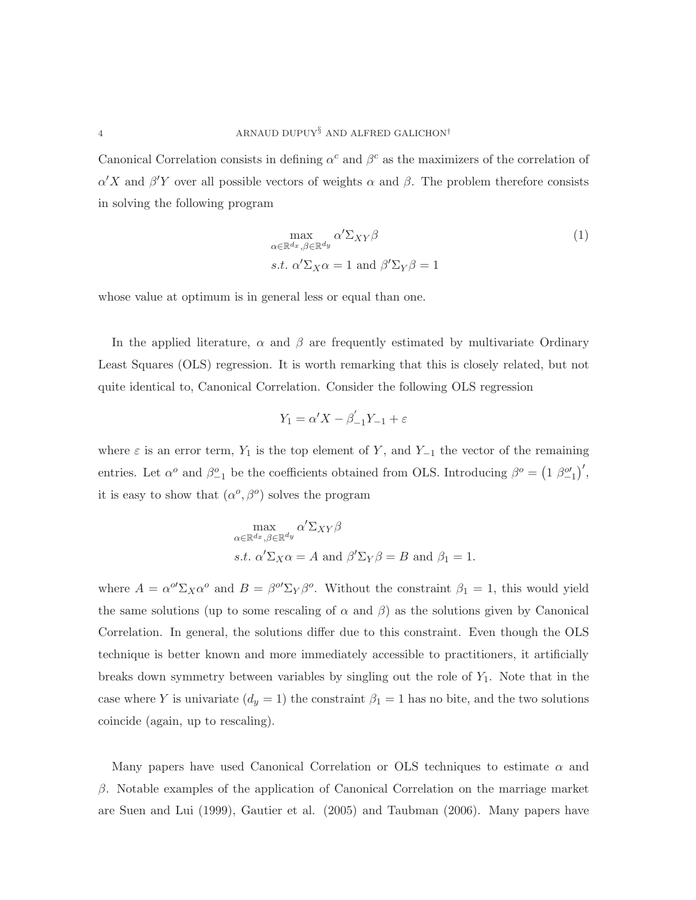Canonical Correlation consists in defining  $\alpha^c$  and  $\beta^c$  as the maximizers of the correlation of  $\alpha'X$  and  $\beta'Y$  over all possible vectors of weights  $\alpha$  and  $\beta$ . The problem therefore consists in solving the following program

<span id="page-3-0"></span>
$$
\max_{\alpha \in \mathbb{R}^{d_x}, \beta \in \mathbb{R}^{d_y}} \alpha' \Sigma_{XY} \beta
$$
\n
$$
s.t. \alpha' \Sigma_X \alpha = 1 \text{ and } \beta' \Sigma_Y \beta = 1
$$
\n
$$
(1)
$$

whose value at optimum is in general less or equal than one.

In the applied literature,  $\alpha$  and  $\beta$  are frequently estimated by multivariate Ordinary Least Squares (OLS) regression. It is worth remarking that this is closely related, but not quite identical to, Canonical Correlation. Consider the following OLS regression

$$
Y_1 = \alpha' X - \beta'_{-1} Y_{-1} + \varepsilon
$$

where  $\varepsilon$  is an error term,  $Y_1$  is the top element of Y, and Y<sub>-1</sub> the vector of the remaining entries. Let  $\alpha^o$  and  $\beta^o_{-1}$  be the coefficients obtained from OLS. Introducing  $\beta^o = (1 \beta^o_{-1})'$ , it is easy to show that  $(\alpha^o, \beta^o)$  solves the program

$$
\max_{\alpha \in \mathbb{R}^{d_x}, \beta \in \mathbb{R}^{d_y}} \alpha' \Sigma_{XY} \beta
$$
  
s.t.  $\alpha' \Sigma_X \alpha = A$  and  $\beta' \Sigma_Y \beta = B$  and  $\beta_1 = 1$ .

where  $A = \alpha^{\omega'} \Sigma_X \alpha^{\omega}$  and  $B = \beta^{\omega'} \Sigma_Y \beta^{\omega}$ . Without the constraint  $\beta_1 = 1$ , this would yield the same solutions (up to some rescaling of  $\alpha$  and  $\beta$ ) as the solutions given by Canonical Correlation. In general, the solutions differ due to this constraint. Even though the OLS technique is better known and more immediately accessible to practitioners, it artificially breaks down symmetry between variables by singling out the role of  $Y_1$ . Note that in the case where Y is univariate  $(d_y = 1)$  the constraint  $\beta_1 = 1$  has no bite, and the two solutions coincide (again, up to rescaling).

Many papers have used Canonical Correlation or OLS techniques to estimate  $\alpha$  and β. Notable examples of the application of Canonical Correlation on the marriage market are Suen and Lui (1999), Gautier et al. (2005) and Taubman (2006). Many papers have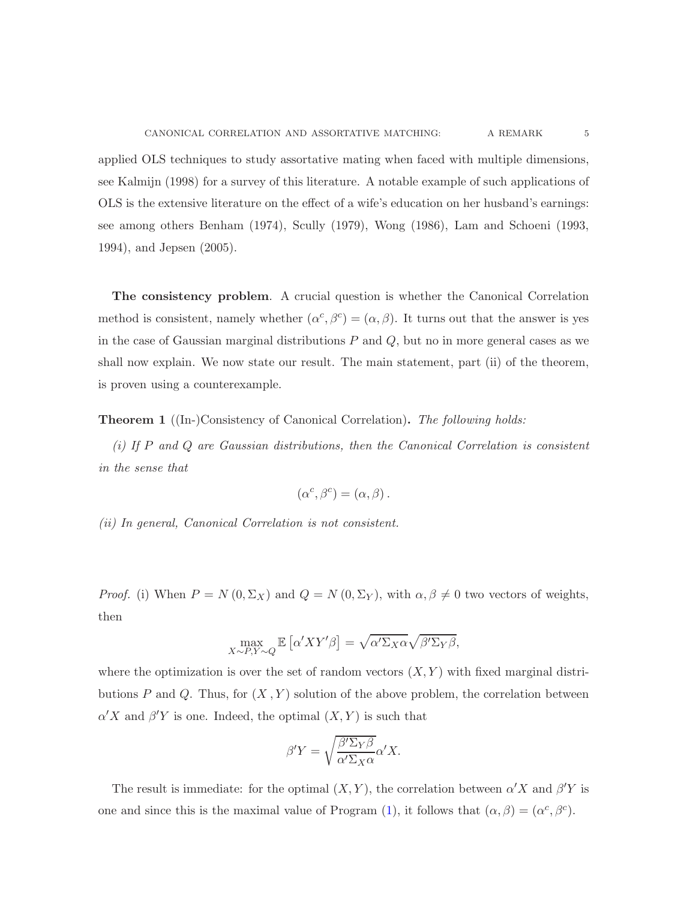applied OLS techniques to study assortative mating when faced with multiple dimensions, see Kalmijn (1998) for a survey of this literature. A notable example of such applications of OLS is the extensive literature on the effect of a wife's education on her husband's earnings: see among others Benham (1974), Scully (1979), Wong (1986), Lam and Schoeni (1993, 1994), and Jepsen (2005).

The consistency problem. A crucial question is whether the Canonical Correlation method is consistent, namely whether  $(\alpha^c, \beta^c) = (\alpha, \beta)$ . It turns out that the answer is yes in the case of Gaussian marginal distributions  $P$  and  $Q$ , but no in more general cases as we shall now explain. We now state our result. The main statement, part (ii) of the theorem, is proven using a counterexample.

Theorem 1 ((In-)Consistency of Canonical Correlation). *The following holds:*

*(i) If* P *and* Q *are Gaussian distributions, then the Canonical Correlation is consistent in the sense that*

$$
(\alpha^c, \beta^c) = (\alpha, \beta).
$$

*(ii) In general, Canonical Correlation is not consistent.*

*Proof.* (i) When  $P = N(0, \Sigma_X)$  and  $Q = N(0, \Sigma_Y)$ , with  $\alpha, \beta \neq 0$  two vectors of weights, then

$$
\max_{X \sim P, Y \sim Q} \mathbb{E}\left[\alpha' XY'\beta\right] = \sqrt{\alpha' \Sigma_X \alpha} \sqrt{\beta' \Sigma_Y \beta},
$$

where the optimization is over the set of random vectors  $(X, Y)$  with fixed marginal distributions P and Q. Thus, for  $(X, Y)$  solution of the above problem, the correlation between  $\alpha'X$  and  $\beta'Y$  is one. Indeed, the optimal  $(X, Y)$  is such that

$$
\beta' Y = \sqrt{\frac{\beta' \Sigma_Y \beta}{\alpha' \Sigma_X \alpha}} \alpha' X.
$$

The result is immediate: for the optimal  $(X, Y)$ , the correlation between  $\alpha' X$  and  $\beta' Y$  is one and since this is the maximal value of Program [\(1\)](#page-3-0), it follows that  $(\alpha, \beta) = (\alpha^c, \beta^c)$ .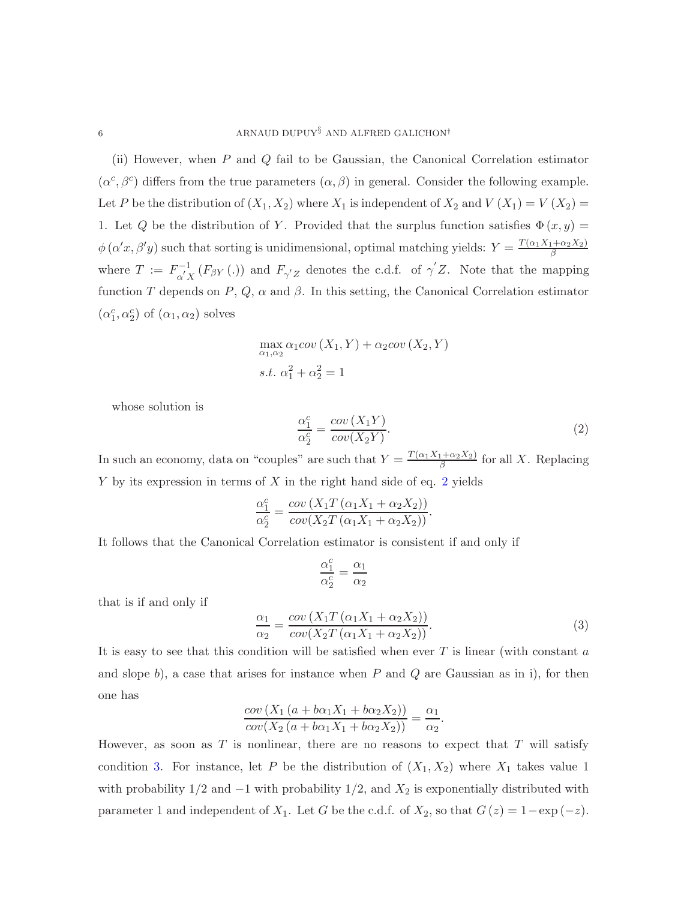(ii) However, when P and Q fail to be Gaussian, the Canonical Correlation estimator  $(\alpha^c, \beta^c)$  differs from the true parameters  $(\alpha, \beta)$  in general. Consider the following example. Let P be the distribution of  $(X_1, X_2)$  where  $X_1$  is independent of  $X_2$  and  $V(X_1) = V(X_2)$ 1. Let Q be the distribution of Y. Provided that the surplus function satisfies  $\Phi(x, y) =$  $\phi(\alpha'x,\beta'y)$  such that sorting is unidimensional, optimal matching yields:  $Y=\frac{T(\alpha_1X_1+\alpha_2X_2)}{\beta}$ β where  $T := F^{-1}_{\alpha' X}(F_{\beta Y}(.))$  and  $F_{\gamma' Z}$  denotes the c.d.f. of  $\gamma' Z$ . Note that the mapping function T depends on  $P, Q, \alpha$  and  $\beta$ . In this setting, the Canonical Correlation estimator  $(\alpha_1^c, \alpha_2^c)$  of  $(\alpha_1, \alpha_2)$  solves

$$
\max_{\alpha_1,\alpha_2} \alpha_1 cov(X_1, Y) + \alpha_2 cov(X_2, Y)
$$
  
s.t.  $\alpha_1^2 + \alpha_2^2 = 1$ 

whose solution is

<span id="page-5-0"></span>
$$
\frac{\alpha_1^c}{\alpha_2^c} = \frac{cov(X_1Y)}{cov(X_2Y)}.
$$
\n(2)

In such an economy, data on "couples" are such that  $Y = \frac{T(\alpha_1 X_1 + \alpha_2 X_2)}{\beta}$  $\frac{(1+\alpha_2\lambda_2)}{\beta}$  for all X. Replacing  $Y$  by its expression in terms of  $X$  in the right hand side of eq. [2](#page-5-0) yields

$$
\frac{\alpha_1^c}{\alpha_2^c} = \frac{cov(X_1T(\alpha_1X_1 + \alpha_2X_2))}{cov(X_2T(\alpha_1X_1 + \alpha_2X_2))}.
$$

It follows that the Canonical Correlation estimator is consistent if and only if

$$
\frac{\alpha_1^c}{\alpha_2^c}=\frac{\alpha_1}{\alpha_2}
$$

that is if and only if

<span id="page-5-1"></span>
$$
\frac{\alpha_1}{\alpha_2} = \frac{cov(X_1 T(\alpha_1 X_1 + \alpha_2 X_2))}{cov(X_2 T(\alpha_1 X_1 + \alpha_2 X_2))}.
$$
\n(3)

.

It is easy to see that this condition will be satisfied when ever  $T$  is linear (with constant  $a$ and slope b), a case that arises for instance when  $P$  and  $Q$  are Gaussian as in i), for then one has

$$
\frac{\operatorname{cov}\left(X_1\left(a+b\alpha_1X_1+b\alpha_2X_2\right)\right)}{\operatorname{cov}\left(X_2\left(a+b\alpha_1X_1+b\alpha_2X_2\right)\right)}=\frac{\alpha_1}{\alpha_2}
$$

However, as soon as  $T$  is nonlinear, there are no reasons to expect that  $T$  will satisfy condition [3.](#page-5-1) For instance, let P be the distribution of  $(X_1, X_2)$  where  $X_1$  takes value 1 with probability  $1/2$  and  $-1$  with probability  $1/2$ , and  $X_2$  is exponentially distributed with parameter 1 and independent of  $X_1$ . Let G be the c.d.f. of  $X_2$ , so that  $G(z) = 1 - \exp(-z)$ .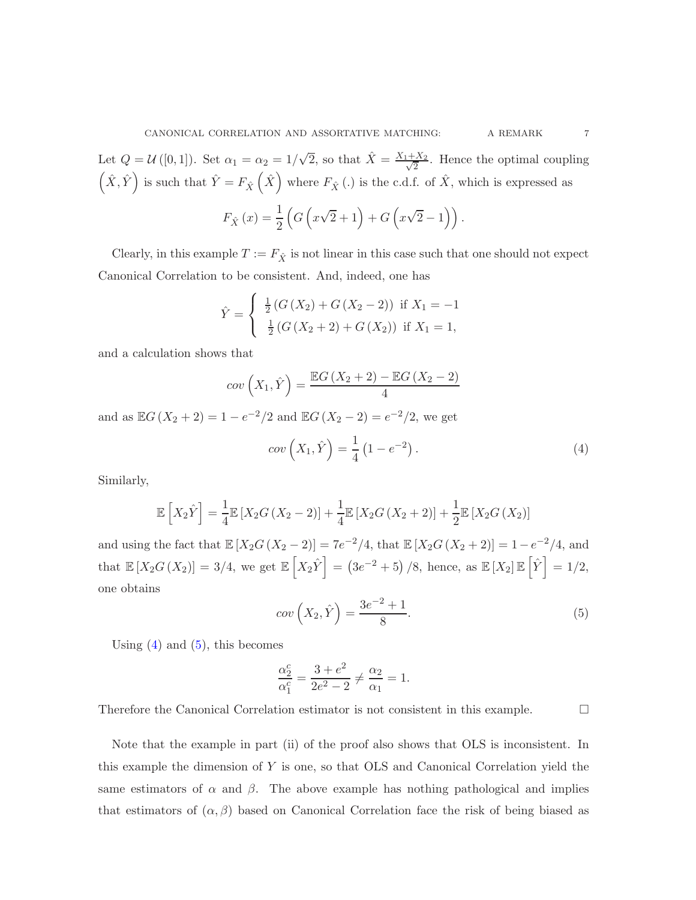Let  $Q = \mathcal{U}([0,1])$ . Set  $\alpha_1 = \alpha_2 = 1/\sqrt{2}$ , so that  $\hat{X} = \frac{X_1 + X_2}{\sqrt{2}}$  $\frac{2 \times 2}{2}$ . Hence the optimal coupling  $(\hat{X}, \hat{Y})$  is such that  $\hat{Y} = F_{\hat{X}}(\hat{X})$  where  $F_{\hat{X}}(\cdot)$  is the c.d.f. of  $\hat{X}$ , which is expressed as

$$
F_{\hat{X}}(x) = \frac{1}{2} \left( G \left( x \sqrt{2} + 1 \right) + G \left( x \sqrt{2} - 1 \right) \right).
$$

Clearly, in this example  $T := F_{\hat{X}}$  is not linear in this case such that one should not expect Canonical Correlation to be consistent. And, indeed, one has

$$
\hat{Y} = \begin{cases}\n\frac{1}{2}(G(X_2) + G(X_2 - 2)) & \text{if } X_1 = -1 \\
\frac{1}{2}(G(X_2 + 2) + G(X_2)) & \text{if } X_1 = 1,\n\end{cases}
$$

and a calculation shows that

<span id="page-6-0"></span>
$$
cov(X_1, \hat{Y}) = \frac{\mathbb{E}G(X_2 + 2) - \mathbb{E}G(X_2 - 2)}{4}
$$

and as  $\mathbb{E}G(X_2 + 2) = 1 - e^{-2}/2$  and  $\mathbb{E}G(X_2 - 2) = e^{-2}/2$ , we get  $cov(X_1, \hat{Y}) = \frac{1}{4}$ 4  $(1-e^{-2})$ .  $(4)$ 

Similarly,

$$
\mathbb{E}\left[X_2\hat{Y}\right] = \frac{1}{4}\mathbb{E}\left[X_2G\left(X_2 - 2\right)\right] + \frac{1}{4}\mathbb{E}\left[X_2G\left(X_2 + 2\right)\right] + \frac{1}{2}\mathbb{E}\left[X_2G\left(X_2\right)\right]
$$

and using the fact that  $\mathbb{E}[X_2G(X_2-2)] = 7e^{-2}/4$ , that  $\mathbb{E}[X_2G(X_2+2)] = 1 - e^{-2}/4$ , and that  $\mathbb{E}[X_2 G(X_2)] = 3/4$ , we get  $\mathbb{E}[X_2 \hat{Y}] = (3e^{-2} + 5)/8$ , hence, as  $\mathbb{E}[X_2] \mathbb{E}[\hat{Y}] = 1/2$ , one obtains

<span id="page-6-1"></span>
$$
cov\left(X_2,\hat{Y}\right) = \frac{3e^{-2} + 1}{8}.\tag{5}
$$

Using  $(4)$  and  $(5)$ , this becomes

$$
\frac{\alpha_2^c}{\alpha_1^c} = \frac{3 + e^2}{2e^2 - 2} \neq \frac{\alpha_2}{\alpha_1} = 1.
$$

Therefore the Canonical Correlation estimator is not consistent in this example.

Note that the example in part (ii) of the proof also shows that OLS is inconsistent. In this example the dimension of Y is one, so that OLS and Canonical Correlation yield the same estimators of  $\alpha$  and  $\beta$ . The above example has nothing pathological and implies that estimators of  $(\alpha, \beta)$  based on Canonical Correlation face the risk of being biased as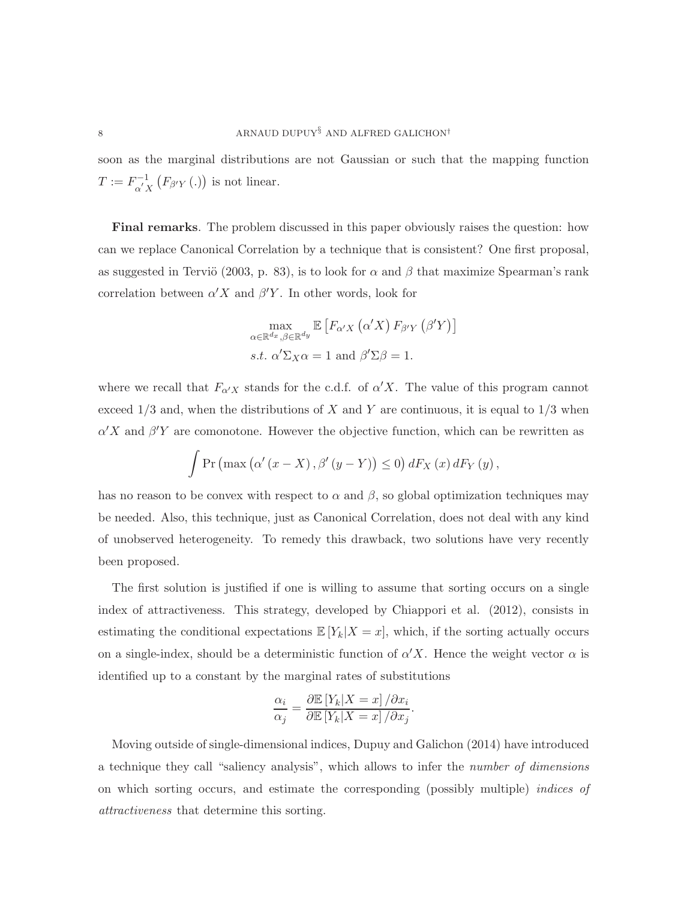soon as the marginal distributions are not Gaussian or such that the mapping function  $T := F_{\alpha' X}^{-1} (F_{\beta' Y} (.) )$  is not linear.

Final remarks. The problem discussed in this paper obviously raises the question: how can we replace Canonical Correlation by a technique that is consistent? One first proposal, as suggested in Terviö (2003, p. 83), is to look for  $\alpha$  and  $\beta$  that maximize Spearman's rank correlation between  $\alpha' X$  and  $\beta' Y$ . In other words, look for

$$
\max_{\alpha \in \mathbb{R}^{d_x}, \beta \in \mathbb{R}^{d_y}} \mathbb{E}\left[F_{\alpha'X}\left(\alpha'X\right)F_{\beta'Y}\left(\beta'Y\right)\right]
$$
  
s.t.  $\alpha'\Sigma_X\alpha = 1$  and  $\beta'\Sigma\beta = 1$ .

where we recall that  $F_{\alpha'X}$  stands for the c.d.f. of  $\alpha'X$ . The value of this program cannot exceed  $1/3$  and, when the distributions of X and Y are continuous, it is equal to  $1/3$  when  $\alpha'X$  and  $\beta'Y$  are comonotone. However the objective function, which can be rewritten as

$$
\int \Pr\left(\max\left(\alpha'(x-X), \beta'(y-Y)\right) \le 0\right) dF_X\left(x\right) dF_Y\left(y\right),
$$

has no reason to be convex with respect to  $\alpha$  and  $\beta$ , so global optimization techniques may be needed. Also, this technique, just as Canonical Correlation, does not deal with any kind of unobserved heterogeneity. To remedy this drawback, two solutions have very recently been proposed.

The first solution is justified if one is willing to assume that sorting occurs on a single index of attractiveness. This strategy, developed by Chiappori et al. (2012), consists in estimating the conditional expectations  $\mathbb{E}[Y_k|X=x]$ , which, if the sorting actually occurs on a single-index, should be a deterministic function of  $\alpha'X$ . Hence the weight vector  $\alpha$  is identified up to a constant by the marginal rates of substitutions

$$
\frac{\alpha_i}{\alpha_j} = \frac{\partial \mathbb{E}\left[Y_k|X=x\right]/\partial x_i}{\partial \mathbb{E}\left[Y_k|X=x\right]/\partial x_j}.
$$

Moving outside of single-dimensional indices, Dupuy and Galichon (2014) have introduced a technique they call "saliency analysis", which allows to infer the *number of dimensions* on which sorting occurs, and estimate the corresponding (possibly multiple) *indices of attractiveness* that determine this sorting.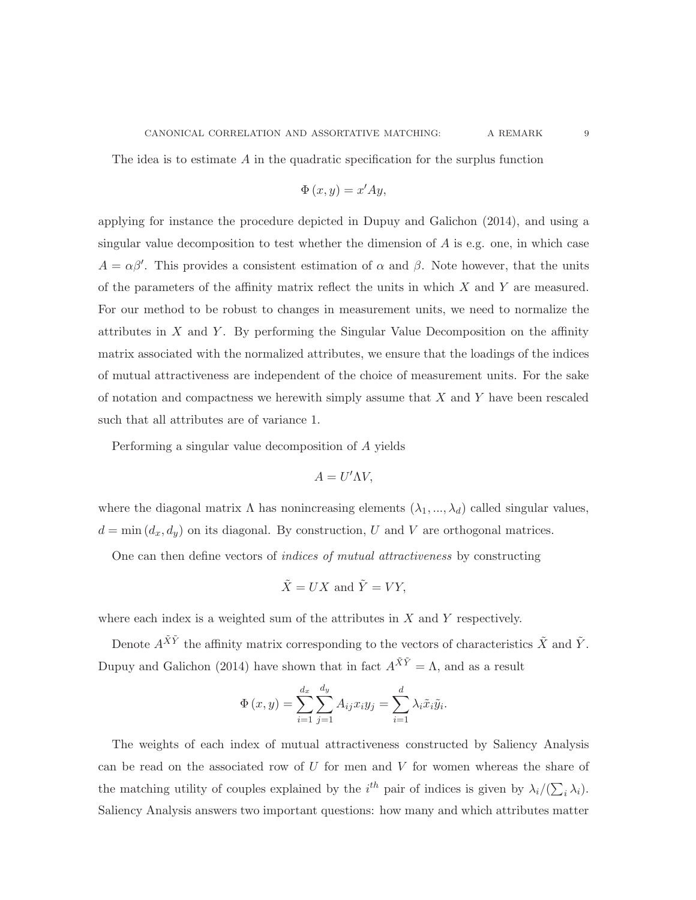The idea is to estimate A in the quadratic specification for the surplus function

$$
\Phi\left( x,y\right) =x^{\prime}Ay,
$$

applying for instance the procedure depicted in Dupuy and Galichon (2014), and using a singular value decomposition to test whether the dimension of  $A$  is e.g. one, in which case  $A = \alpha \beta'$ . This provides a consistent estimation of  $\alpha$  and  $\beta$ . Note however, that the units of the parameters of the affinity matrix reflect the units in which  $X$  and  $Y$  are measured. For our method to be robust to changes in measurement units, we need to normalize the attributes in  $X$  and  $Y$ . By performing the Singular Value Decomposition on the affinity matrix associated with the normalized attributes, we ensure that the loadings of the indices of mutual attractiveness are independent of the choice of measurement units. For the sake of notation and compactness we herewith simply assume that  $X$  and  $Y$  have been rescaled such that all attributes are of variance 1.

Performing a singular value decomposition of A yields

$$
A = U'\Lambda V,
$$

where the diagonal matrix  $\Lambda$  has nonincreasing elements  $(\lambda_1, ..., \lambda_d)$  called singular values,  $d = \min (d_x, d_y)$  on its diagonal. By construction, U and V are orthogonal matrices.

One can then define vectors of *indices of mutual attractiveness* by constructing

$$
\tilde{X} = UX \text{ and } \tilde{Y} = VY,
$$

where each index is a weighted sum of the attributes in  $X$  and  $Y$  respectively.

Denote  $A^{\tilde{X}\tilde{Y}}$  the affinity matrix corresponding to the vectors of characteristics  $\tilde{X}$  and  $\tilde{Y}$ . Dupuy and Galichon (2014) have shown that in fact  $A^{\tilde{X}\tilde{Y}} = \Lambda$ , and as a result

$$
\Phi(x, y) = \sum_{i=1}^{d_x} \sum_{j=1}^{d_y} A_{ij} x_i y_j = \sum_{i=1}^{d} \lambda_i \tilde{x}_i \tilde{y}_i.
$$

The weights of each index of mutual attractiveness constructed by Saliency Analysis can be read on the associated row of  $U$  for men and  $V$  for women whereas the share of the matching utility of couples explained by the  $i^{th}$  pair of indices is given by  $\lambda_i/(\sum_i \lambda_i)$ . Saliency Analysis answers two important questions: how many and which attributes matter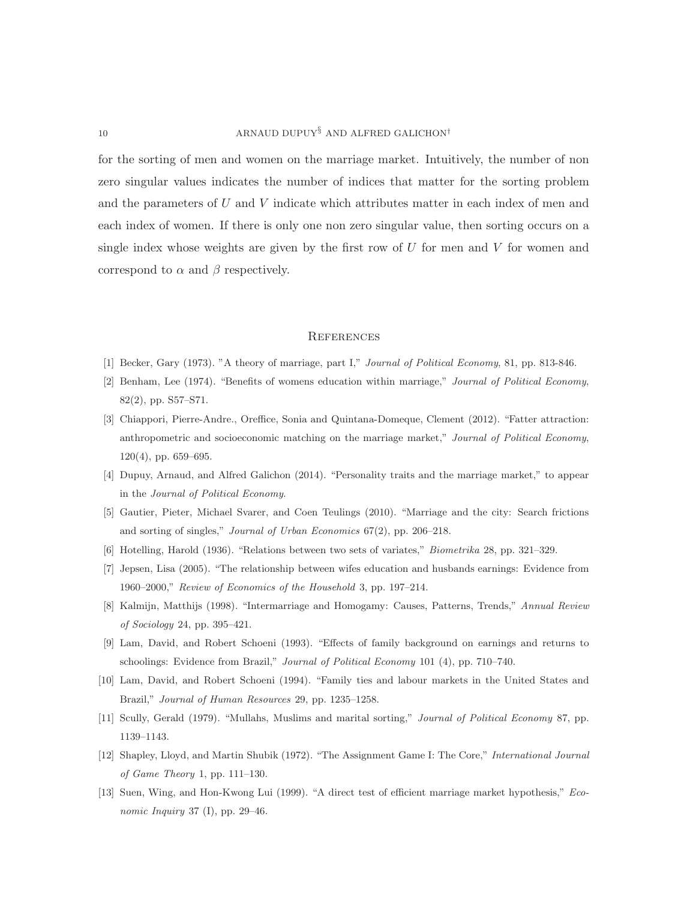for the sorting of men and women on the marriage market. Intuitively, the number of non zero singular values indicates the number of indices that matter for the sorting problem and the parameters of U and V indicate which attributes matter in each index of men and each index of women. If there is only one non zero singular value, then sorting occurs on a single index whose weights are given by the first row of  $U$  for men and  $V$  for women and correspond to  $\alpha$  and  $\beta$  respectively.

## **REFERENCES**

- [1] Becker, Gary (1973). "A theory of marriage, part I," *Journal of Political Economy*, 81, pp. 813-846.
- [2] Benham, Lee (1974). "Benefits of womens education within marriage," *Journal of Political Economy*, 82(2), pp. S57–S71.
- [3] Chiappori, Pierre-Andre., Oreffice, Sonia and Quintana-Domeque, Clement (2012). "Fatter attraction: anthropometric and socioeconomic matching on the marriage market," *Journal of Political Economy*, 120(4), pp. 659–695.
- [4] Dupuy, Arnaud, and Alfred Galichon (2014). "Personality traits and the marriage market," to appear in the *Journal of Political Economy*.
- [5] Gautier, Pieter, Michael Svarer, and Coen Teulings (2010). "Marriage and the city: Search frictions and sorting of singles," *Journal of Urban Economics* 67(2), pp. 206–218.
- [6] Hotelling, Harold (1936). "Relations between two sets of variates," *Biometrika* 28, pp. 321–329.
- [7] Jepsen, Lisa (2005). "The relationship between wifes education and husbands earnings: Evidence from 1960–2000," *Review of Economics of the Household* 3, pp. 197–214.
- [8] Kalmijn, Matthijs (1998). "Intermarriage and Homogamy: Causes, Patterns, Trends," *Annual Review of Sociology* 24, pp. 395–421.
- [9] Lam, David, and Robert Schoeni (1993). "Effects of family background on earnings and returns to schoolings: Evidence from Brazil," *Journal of Political Economy* 101 (4), pp. 710–740.
- [10] Lam, David, and Robert Schoeni (1994). "Family ties and labour markets in the United States and Brazil," *Journal of Human Resources* 29, pp. 1235–1258.
- [11] Scully, Gerald (1979). "Mullahs, Muslims and marital sorting," *Journal of Political Economy* 87, pp. 1139–1143.
- [12] Shapley, Lloyd, and Martin Shubik (1972). "The Assignment Game I: The Core," *International Journal of Game Theory* 1, pp. 111–130.
- [13] Suen, Wing, and Hon-Kwong Lui (1999). "A direct test of efficient marriage market hypothesis," *Economic Inquiry* 37 (I), pp. 29–46.